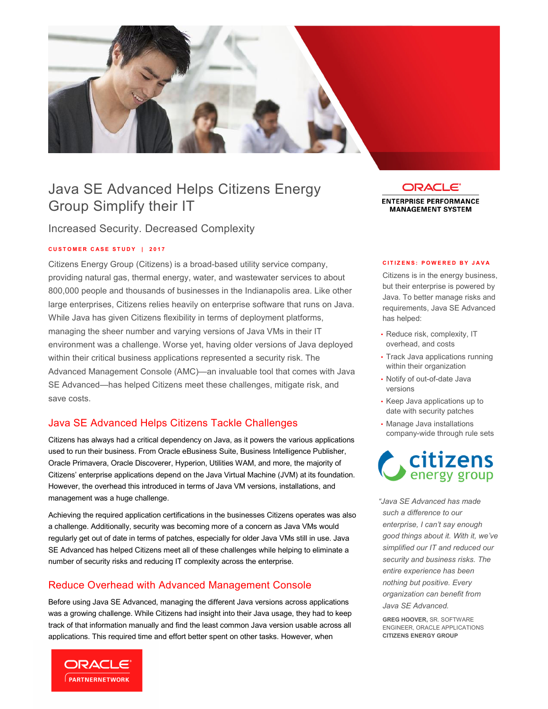

# Java SE dvanced Helps Citizens Energy Group Simplify their IT

Increased Security. Decreased Complexity

### **C U S T O E R C A S E S T U D Y | 2 0 1 7**

 Citizens Energy Group (Citizens) is a broad-based utility service company, providing natural gas, thermal energy, water, and wastewater services to about 800,000 people and thousands of businesses in the Indianapolis area. Like other large enterprises, Citizens relies heavily on enterprise software that runs on Java. While Java has given Citizens flexibility in terms of deployment platforms, managing the sheer number and varying versions of Java VMs in their IT environment was a challenge. Worse yet, having older versions of Java deployed within their critical business applications represented a security risk. The Advanced Management Console (AMC)—an invaluable tool that comes with Java SE Advanced—has helped Citizens meet these challenges, mitigate risk, and save costs.

## Java SE dvanced Helps Citizens Tackle Challenges

 Citizens has always had a critical dependency on Java, as it powers the various applications used to run their business. From Oracle eBusiness Suite, Business Intelligence Publisher, Oracle Primavera, Oracle Discoverer, Hyperion, Utilities WAM, and more, the majority of Citizens' enterprise applications depend on the Java Virtual Machine (JVM) at its foundation. However, the overhead this introduced in terms of Java VM versions, installations, and management was a huge challenge.

Achieving the required application certifications in the businesses Citizens operates was also a challenge. Additionally, security was becoming more of a concern as Java VMs would regularly get out of date in terms of patches, especially for older Java VMs still in use. Java SE dvanced has helped Citizens meet all of these challenges while helping to eliminate a number of security risks and reducing IT complexity across the enterprise.

### Reduce Overhead with dvanced Management Console

 Before using Java SE dvanced, managing the different Java versions across applications was a growing challenge. While Citizens had insight into their Java usage, they had to keep track of that information manually and find the least common Java version usable across all applications. This required time and effort better spent on other tasks. However, when



**ORACLE**® **ENTERPRISE PERFORMANCE** 

**MANAGEMENT SYSTEM** 

#### **C I T I Z E N S : P O W E R E D B Y J A V A**

 Citizens is in the energy business, but their enterprise is powered by Java. To better manage risks and requirements, Java SE dvanced has helped:

- • Reduce risk, complexity, IT overhead, and costs
- • Track Java applications running within their organization
- • Notify of out-of-date Java versions
- • Keep Java applications up to date with security patches
- • Manage Java installations company-wide through rule sets



 *"Java S Advanced has made such a difference to our enterprise, I can't say enough good things about it. With it, we've simplified our IT and reduced our security and business risks. The entire experience has been nothing but positive. Every organization can benefit from Java SE Advanced.* 

 **GREG HOOVER,** SR. SOFTW RE  **CITIZENS ENERGY GROUP** ENGINEER, ORACLE APPLICATIONS